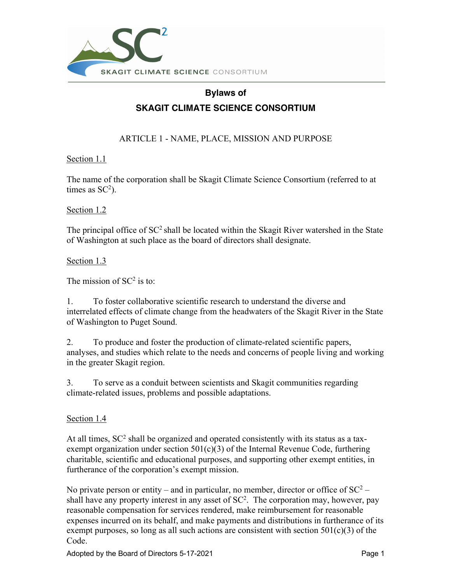

# **Bylaws of SKAGIT CLIMATE SCIENCE CONSORTIUM**

ARTICLE 1 - NAME, PLACE, MISSION AND PURPOSE

Section 1.1

The name of the corporation shall be Skagit Climate Science Consortium (referred to at times as  $SC^2$ ).

Section 1.2

The principal office of  $SC^2$  shall be located within the Skagit River watershed in the State of Washington at such place as the board of directors shall designate.

Section 1.3

The mission of  $SC^2$  is to:

1. To foster collaborative scientific research to understand the diverse and interrelated effects of climate change from the headwaters of the Skagit River in the State of Washington to Puget Sound.

2. To produce and foster the production of climate-related scientific papers, analyses, and studies which relate to the needs and concerns of people living and working in the greater Skagit region.

3. To serve as a conduit between scientists and Skagit communities regarding climate-related issues, problems and possible adaptations.

# Section 1.4

At all times,  $SC^2$  shall be organized and operated consistently with its status as a taxexempt organization under section  $501(c)(3)$  of the Internal Revenue Code, furthering charitable, scientific and educational purposes, and supporting other exempt entities, in furtherance of the corporation's exempt mission.

No private person or entity – and in particular, no member, director or office of  $SC^2$  – shall have any property interest in any asset of  $SC<sup>2</sup>$ . The corporation may, however, pay reasonable compensation for services rendered, make reimbursement for reasonable expenses incurred on its behalf, and make payments and distributions in furtherance of its exempt purposes, so long as all such actions are consistent with section  $501(c)(3)$  of the Code.

Adopted by the Board of Directors 5-17-2021 Page 1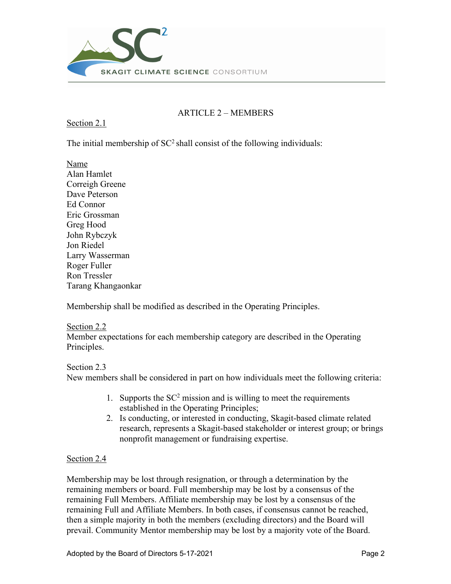

## ARTICLE 2 – MEMBERS

Section 2.1

The initial membership of  $SC^2$  shall consist of the following individuals:

Name Alan Hamlet Correigh Greene Dave Peterson Ed Connor Eric Grossman Greg Hood John Rybczyk Jon Riedel Larry Wasserman Roger Fuller Ron Tressler Tarang Khangaonkar

Membership shall be modified as described in the Operating Principles.

Section 2.2 Member expectations for each membership category are described in the Operating Principles.

## Section 2.3

New members shall be considered in part on how individuals meet the following criteria:

- 1. Supports the  $SC<sup>2</sup>$  mission and is willing to meet the requirements established in the Operating Principles;
- 2. Is conducting, or interested in conducting, Skagit-based climate related research, represents a Skagit-based stakeholder or interest group; or brings nonprofit management or fundraising expertise.

## Section 2.4

Membership may be lost through resignation, or through a determination by the remaining members or board. Full membership may be lost by a consensus of the remaining Full Members. Affiliate membership may be lost by a consensus of the remaining Full and Affiliate Members. In both cases, if consensus cannot be reached, then a simple majority in both the members (excluding directors) and the Board will prevail. Community Mentor membership may be lost by a majority vote of the Board.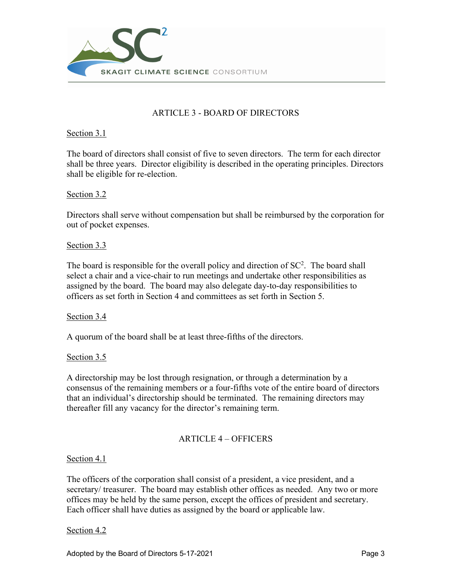

# ARTICLE 3 - BOARD OF DIRECTORS

## Section 3.1

The board of directors shall consist of five to seven directors. The term for each director shall be three years. Director eligibility is described in the operating principles. Directors shall be eligible for re-election.

## Section 3.2

Directors shall serve without compensation but shall be reimbursed by the corporation for out of pocket expenses.

## Section 3.3

The board is responsible for the overall policy and direction of  $SC<sup>2</sup>$ . The board shall select a chair and a vice-chair to run meetings and undertake other responsibilities as assigned by the board. The board may also delegate day-to-day responsibilities to officers as set forth in Section 4 and committees as set forth in Section 5.

## Section 3.4

A quorum of the board shall be at least three-fifths of the directors.

## Section 3.5

A directorship may be lost through resignation, or through a determination by a consensus of the remaining members or a four-fifths vote of the entire board of directors that an individual's directorship should be terminated. The remaining directors may thereafter fill any vacancy for the director's remaining term.

## ARTICLE 4 – OFFICERS

## Section 4.1

The officers of the corporation shall consist of a president, a vice president, and a secretary/ treasurer. The board may establish other offices as needed. Any two or more offices may be held by the same person, except the offices of president and secretary. Each officer shall have duties as assigned by the board or applicable law.

## Section 4.2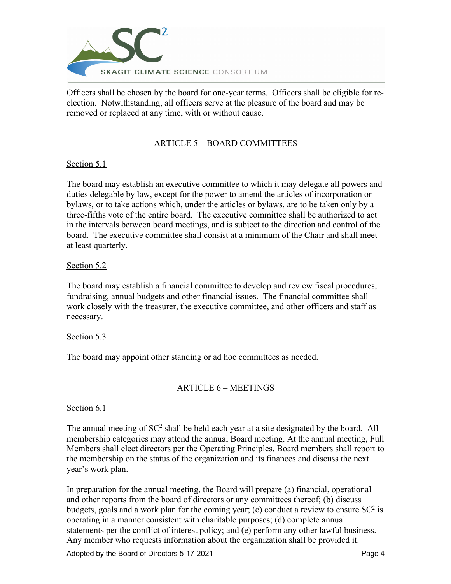

Officers shall be chosen by the board for one-year terms. Officers shall be eligible for reelection. Notwithstanding, all officers serve at the pleasure of the board and may be removed or replaced at any time, with or without cause.

## ARTICLE 5 – BOARD COMMITTEES

## Section 5.1

The board may establish an executive committee to which it may delegate all powers and duties delegable by law, except for the power to amend the articles of incorporation or bylaws, or to take actions which, under the articles or bylaws, are to be taken only by a three-fifths vote of the entire board. The executive committee shall be authorized to act in the intervals between board meetings, and is subject to the direction and control of the board. The executive committee shall consist at a minimum of the Chair and shall meet at least quarterly.

## Section 5.2

The board may establish a financial committee to develop and review fiscal procedures, fundraising, annual budgets and other financial issues. The financial committee shall work closely with the treasurer, the executive committee, and other officers and staff as necessary.

## Section 5.3

The board may appoint other standing or ad hoc committees as needed.

## ARTICLE 6 – MEETINGS

## Section 6.1

The annual meeting of  $SC^2$  shall be held each year at a site designated by the board. All membership categories may attend the annual Board meeting. At the annual meeting, Full Members shall elect directors per the Operating Principles. Board members shall report to the membership on the status of the organization and its finances and discuss the next year's work plan.

In preparation for the annual meeting, the Board will prepare (a) financial, operational and other reports from the board of directors or any committees thereof; (b) discuss budgets, goals and a work plan for the coming year; (c) conduct a review to ensure  $SC<sup>2</sup>$  is operating in a manner consistent with charitable purposes; (d) complete annual statements per the conflict of interest policy; and (e) perform any other lawful business. Any member who requests information about the organization shall be provided it.

Adopted by the Board of Directors 5-17-2021 Page 4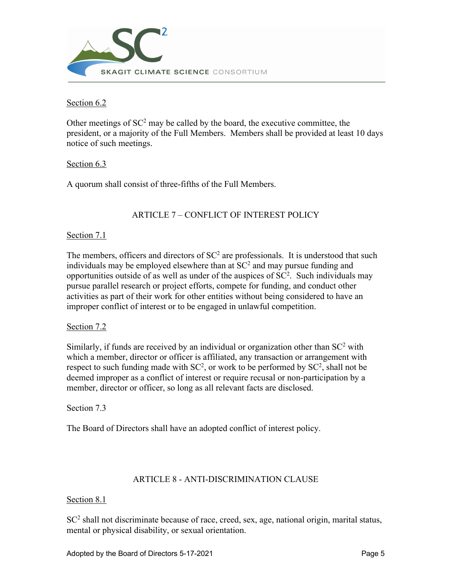

Section 6.2

Other meetings of  $SC^2$  may be called by the board, the executive committee, the president, or a majority of the Full Members. Members shall be provided at least 10 days notice of such meetings.

## Section 6.3

A quorum shall consist of three-fifths of the Full Members.

## ARTICLE 7 – CONFLICT OF INTEREST POLICY

## Section 7.1

The members, officers and directors of  $SC<sup>2</sup>$  are professionals. It is understood that such individuals may be employed elsewhere than at  $SC<sup>2</sup>$  and may pursue funding and opportunities outside of as well as under of the auspices of  $SC<sup>2</sup>$ . Such individuals may pursue parallel research or project efforts, compete for funding, and conduct other activities as part of their work for other entities without being considered to have an improper conflict of interest or to be engaged in unlawful competition.

## Section 7.2

Similarly, if funds are received by an individual or organization other than  $SC<sup>2</sup>$  with which a member, director or officer is affiliated, any transaction or arrangement with respect to such funding made with  $SC^2$ , or work to be performed by  $SC^2$ , shall not be deemed improper as a conflict of interest or require recusal or non-participation by a member, director or officer, so long as all relevant facts are disclosed.

Section 7.3

The Board of Directors shall have an adopted conflict of interest policy.

## ARTICLE 8 - ANTI-DISCRIMINATION CLAUSE

## Section 8.1

 $SC<sup>2</sup>$  shall not discriminate because of race, creed, sex, age, national origin, marital status, mental or physical disability, or sexual orientation.